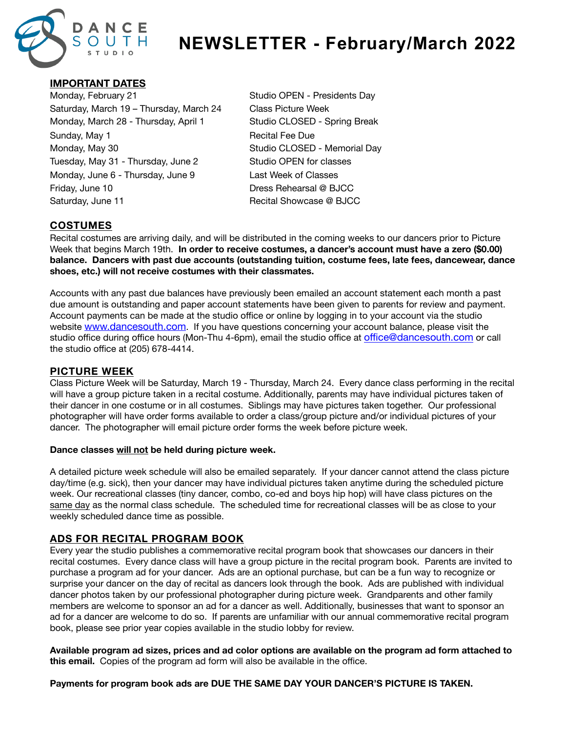

# **NEWSLETTER - February/March 2022**

# **IMPORTANT DATES**

Monday, February 21 **Monday, February 21** Studio OPEN - Presidents Day Saturday, March 19 – Thursday, March 24 Class Picture Week Monday, March 28 - Thursday, April 1 Studio CLOSED - Spring Break Sunday, May 1 **Sunday, May 1 Recital Fee Due** Monday, May 30 **All Accords** CLOSED - Memorial Day Tuesday, May 31 - Thursday, June 2 Studio OPEN for classes Monday, June 6 - Thursday, June 9 Last Week of Classes Friday, June 10 **Dress Rehearsal @ BJCC** Saturday, June 11 **Saturday, June 11 Recital Showcase @ BJCC** 

# **COSTUMES**

Recital costumes are arriving daily, and will be distributed in the coming weeks to our dancers prior to Picture Week that begins March 19th. **In order to receive costumes, a dancer's account must have a zero (\$0.00) balance. Dancers with past due accounts (outstanding tuition, costume fees, late fees, dancewear, dance shoes, etc.) will not receive costumes with their classmates.**

Accounts with any past due balances have previously been emailed an account statement each month a past due amount is outstanding and paper account statements have been given to parents for review and payment. Account payments can be made at the studio office or online by logging in to your account via the studio website [www.dancesouth.com](https://app.akadadance.com/customer/login?schoolId=AK600476J). If you have questions concerning your account balance, please visit the studio office during office hours (Mon-Thu 4-6pm), email the studio office at offi[ce@dancesouth.com](mailto:office@dancesouth.com) or call the studio office at (205) 678-4414.

# **PICTURE WEEK**

Class Picture Week will be Saturday, March 19 - Thursday, March 24. Every dance class performing in the recital will have a group picture taken in a recital costume. Additionally, parents may have individual pictures taken of their dancer in one costume or in all costumes. Siblings may have pictures taken together. Our professional photographer will have order forms available to order a class/group picture and/or individual pictures of your dancer. The photographer will email picture order forms the week before picture week.

#### **Dance classes will not be held during picture week.**

A detailed picture week schedule will also be emailed separately. If your dancer cannot attend the class picture day/time (e.g. sick), then your dancer may have individual pictures taken anytime during the scheduled picture week. Our recreational classes (tiny dancer, combo, co-ed and boys hip hop) will have class pictures on the same day as the normal class schedule. The scheduled time for recreational classes will be as close to your weekly scheduled dance time as possible.

# **ADS FOR RECITAL PROGRAM BOOK**

Every year the studio publishes a commemorative recital program book that showcases our dancers in their recital costumes. Every dance class will have a group picture in the recital program book. Parents are invited to purchase a program ad for your dancer. Ads are an optional purchase, but can be a fun way to recognize or surprise your dancer on the day of recital as dancers look through the book. Ads are published with individual dancer photos taken by our professional photographer during picture week. Grandparents and other family members are welcome to sponsor an ad for a dancer as well. Additionally, businesses that want to sponsor an ad for a dancer are welcome to do so. If parents are unfamiliar with our annual commemorative recital program book, please see prior year copies available in the studio lobby for review.

**Available program ad sizes, prices and ad color options are available on the program ad form attached to this email.** Copies of the program ad form will also be available in the office.

#### **Payments for program book ads are DUE THE SAME DAY YOUR DANCER'S PICTURE IS TAKEN.**